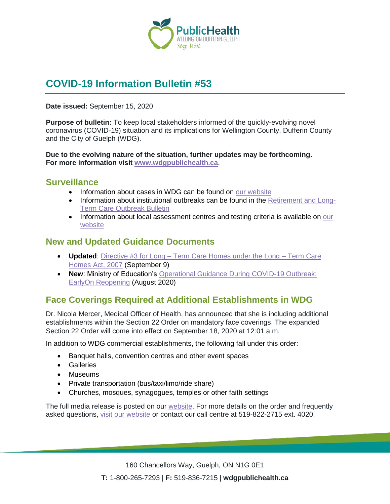

# **COVID-19 Information Bulletin #53**

#### **Date issued:** September 15, 2020

**Purpose of bulletin:** To keep local stakeholders informed of the quickly-evolving novel coronavirus (COVID-19) situation and its implications for Wellington County, Dufferin County and the City of Guelph (WDG).

**Due to the evolving nature of the situation, further updates may be forthcoming. For more information visit [www.wdgpublichealth.ca](http://www.wdgpublichealth.ca/)**.

#### **Surveillance**

- Information about cases in WDG can be found on [our website](https://wdgpublichealth.ca/your-health/covid-19-information-public/status-cases-wdg)
- Information about institutional outbreaks can be found in the [Retirement and Long-](https://wdgpublichealth.ca/node/1542)[Term Care Outbreak Bulletin](https://wdgpublichealth.ca/node/1542)
- Information about local assessment centres and testing criteria is available on our [website](https://www.wdgpublichealth.ca/your-health/covid-19-information-public/assessment-centres-wdg)

### **New and Updated Guidance Documents**

- **Updated**: Directive #3 for Long [Term Care Homes under the Long –](http://www.health.gov.on.ca/en/pro/programs/publichealth/coronavirus/docs/directives/LTCH_HPPA.pdf) Term Care [Homes Act, 2007](http://www.health.gov.on.ca/en/pro/programs/publichealth/coronavirus/docs/directives/LTCH_HPPA.pdf) (September 9)
- **New**: Ministry of Education's [Operational Guidance During COVID-19 Outbreak:](http://www.edu.gov.on.ca/childcare/early-on-guide-child-care.pdf)  [EarlyOn Reopening](http://www.edu.gov.on.ca/childcare/early-on-guide-child-care.pdf) (August 2020)

# **Face Coverings Required at Additional Establishments in WDG**

Dr. Nicola Mercer, Medical Officer of Health, has announced that she is including additional establishments within the Section 22 Order on mandatory face coverings. The expanded Section 22 Order will come into effect on September 18, 2020 at 12:01 a.m.

In addition to WDG commercial establishments, the following fall under this order:

- Banquet halls, convention centres and other event spaces
- Galleries
- Museums
- Private transportation (bus/taxi/limo/ride share)
- Churches, mosques, synagogues, temples or other faith settings

The full media release is posted on our [website.](https://www.wdgpublichealth.ca/news/increasing-cases-our-region-prompt-updates-dr-nicola-mercer%E2%80%99s-section-22-order) For more details on the order and frequently asked questions, [visit our website](https://www.wdgpublichealth.ca/your-health/covid-19-information-public/face-coverings-class-order-and-faqs) or contact our call centre at 519-822-2715 ext. 4020.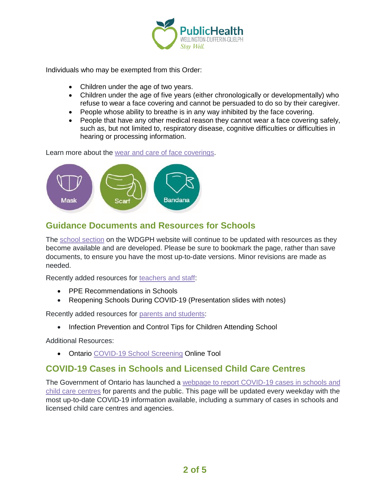

Individuals who may be exempted from this Order:

- Children under the age of two years.
- Children under the age of five years (either chronologically or developmentally) who refuse to wear a face covering and cannot be persuaded to do so by their caregiver.
- People whose ability to breathe is in any way inhibited by the face covering.
- People that have any other medical reason they cannot wear a face covering safely, such as, but not limited to, respiratory disease, cognitive difficulties or difficulties in hearing or processing information.

Learn more about the [wear and care of face coverings.](https://www.wdgpublichealth.ca/your-health/covid-19-information-public/face-coverings-class-order-and-faqs/wear-and-care-face)



# **Guidance Documents and Resources for Schools**

The [school section](https://www.wdgpublichealth.ca/your-health/covid-19-information-schools-parents-and-teachers/schools-and-post-secondary) on the WDGPH website will continue to be updated with resources as they become available and are developed. Please be sure to bookmark the page, rather than save documents, to ensure you have the most up-to-date versions. Minor revisions are made as needed.

Recently added resources for [teachers and staff:](https://www.wdgpublichealth.ca/your-health/covid-19-information-schools-parents-and-teachers/teachers-and-staff)

- PPE Recommendations in Schools
- Reopening Schools During COVID-19 (Presentation slides with notes)

Recently added resources for [parents and students:](https://www.wdgpublichealth.ca/your-health/covid-19-information-schools-parents-and-teachers/parents-and-students)

• Infection Prevention and Control Tips for Children Attending School

Additional Resources:

• Ontario [COVID-19 School Screening](https://covid-19.ontario.ca/school-screening/) Online Tool

### **COVID-19 Cases in Schools and Licensed Child Care Centres**

The Government of Ontario has launched a [webpage to report COVID-19 cases in schools and](https://www.ontario.ca/page/covid-19-cases-schools-and-child-care-centres)  [child care centres](https://www.ontario.ca/page/covid-19-cases-schools-and-child-care-centres) for parents and the public. This page will be updated every weekday with the most up-to-date COVID-19 information available, including a summary of cases in schools and licensed child care centres and agencies.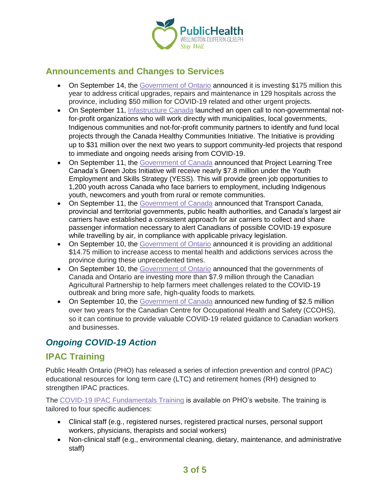

## **Announcements and Changes to Services**

- On September 14, the [Government of Ontario](https://news.ontario.ca/en/release/58366/ontario-investing-in-hospital-upgrades-and-repairs) announced it is investing \$175 million this year to address critical upgrades, repairs and maintenance in 129 hospitals across the province, including \$50 million for COVID-19 related and other urgent projects.
- On September 11, [Infastructure Canada](https://www.canada.ca/en/office-infrastructure/news/2020/09/open-call-for-applications-for-the-canada-healthy-communities-initiative.html) launched an open call to non-governmental notfor-profit organizations who will work directly with municipalities, local governments, Indigenous communities and not-for-profit community partners to identify and fund local projects through the Canada Healthy Communities Initiative. The Initiative is providing up to \$31 million over the next two years to support community-led projects that respond to immediate and ongoing needs arising from COVID-19.
- On September 11, the [Government of Canada](https://www.canada.ca/en/employment-social-development/news/2020/09/announcement-in-ottawa-on-support-for-canadian-youth-facing-barriers-to-employment-and-schooling.html) announced that Project Learning Tree Canada's Green Jobs Initiative will receive nearly \$7.8 million under the Youth Employment and Skills Strategy (YESS). This will provide green job opportunities to 1,200 youth across Canada who face barriers to employment, including Indigenous youth, newcomers and youth from rural or remote communities.
- On September 11, the [Government of Canada](https://www.canada.ca/en/transport-canada/news/2020/09/government-of-canada-and-partners-improve-process-to-notify-air-travellers-potentially-exposed-to-covid-19-on-domestic-flights.html) announced that Transport Canada, provincial and territorial governments, public health authorities, and Canada's largest air carriers have established a consistent approach for air carriers to collect and share passenger information necessary to alert Canadians of possible COVID-19 exposure while travelling by air, in compliance with applicable privacy legislation.
- On September 10, the [Government of Ontario](https://news.ontario.ca/en/release/58333/ontario-expanding-innovative-mental-health-and-addictions) announced it is providing an additional \$14.75 million to increase access to mental health and addictions services across the province during these unprecedented times.
- On September 10, the [Government of Ontario](https://news.ontario.ca/en/release/58325/governments-help-ontario-farmers-bring-high-quality-products-to-market) announced that the governments of Canada and Ontario are investing more than \$7.9 million through the Canadian Agricultural Partnership to help farmers meet challenges related to the COVID-19 outbreak and bring more safe, high-quality foods to markets.
- On September 10, the [Government of Canada](https://www.canada.ca/en/employment-social-development/news/2020/09/minister-tassi-announces-new-funding-for-the-canadian-centre-for-occupational-health-and-safety.html) announced new funding of \$2.5 million over two years for the Canadian Centre for Occupational Health and Safety (CCOHS), so it can continue to provide valuable COVID-19 related guidance to Canadian workers and businesses.

# *Ongoing COVID-19 Action*

### **IPAC Training**

Public Health Ontario (PHO) has released a series of infection prevention and control (IPAC) educational resources for long term care (LTC) and retirement homes (RH) designed to strengthen IPAC practices.

The [COVID-19 IPAC Fundamentals Training](https://www.publichealthontario.ca/en/education-and-events/online-learning/ipac-fundamentals) is available on PHO's website. The training is tailored to four specific audiences:

- Clinical staff (e.g., registered nurses, registered practical nurses, personal support workers, physicians, therapists and social workers)
- Non-clinical staff (e.g., environmental cleaning, dietary, maintenance, and administrative staff)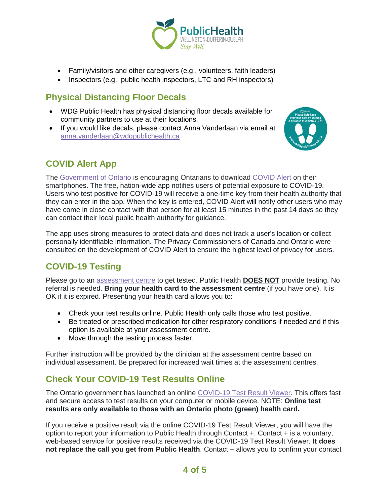

- Family/visitors and other caregivers (e.g., volunteers, faith leaders)
- Inspectors (e.g., public health inspectors, LTC and RH inspectors)

# **Physical Distancing Floor Decals**

- WDG Public Health has physical distancing floor decals available for community partners to use at their locations.
- If you would like decals, please contact Anna Vanderlaan via email at [anna.vanderlaan@wdgpublichealth.ca](mailto:anna.vanderlaan@wdgpublichealth.ca)



# **COVID Alert App**

The [Government of Ontario](https://news.ontario.ca/opo/en/2020/07/covid-alert-available-for-download-beginning-today.html) is encouraging Ontarians to download [COVID Alert](https://covid-19.ontario.ca/covidalert?_ga=2.68068817.1702415536.1596548534-1123331746.1579028832) on their smartphones. The free, nation-wide app notifies users of potential exposure to COVID-19. Users who test positive for COVID-19 will receive a one-time key from their health authority that they can enter in the app. When the key is entered, COVID Alert will notify other users who may have come in close contact with that person for at least 15 minutes in the past 14 days so they can contact their local public health authority for guidance.

The app uses strong measures to protect data and does not track a user's location or collect personally identifiable information. The Privacy Commissioners of Canada and Ontario were consulted on the development of COVID Alert to ensure the highest level of privacy for users.

# **COVID-19 Testing**

Please go to an [assessment centre](https://wdgpublichealth.ca/your-health/covid-19-information-public/assessment-centres-wdg) to get tested. Public Health **DOES NOT** provide testing. No referral is needed. **Bring your health card to the assessment centre** (if you have one). It is OK if it is expired. Presenting your health card allows you to:

- Check your test results online. Public Health only calls those who test positive.
- Be treated or prescribed medication for other respiratory conditions if needed and if this option is available at your assessment centre.
- Move through the testing process faster.

Further instruction will be provided by the clinician at the assessment centre based on individual assessment. Be prepared for increased wait times at the assessment centres.

# **Check Your COVID-19 Test Results Online**

The Ontario government has launched an online [COVID-19 Test Result Viewer.](https://covid19results.ehealthontario.ca:4443/agree) This offers fast and secure access to test results on your computer or mobile device. NOTE: **Online test results are only available to those with an Ontario photo (green) health card.**

If you receive a positive result via the online COVID-19 Test Result Viewer, you will have the option to report your information to Public Health through Contact +. Contact + is a voluntary, web-based service for positive results received via the COVID-19 Test Result Viewer. **It does not replace the call you get from Public Health.** Contact + allows you to confirm your contact